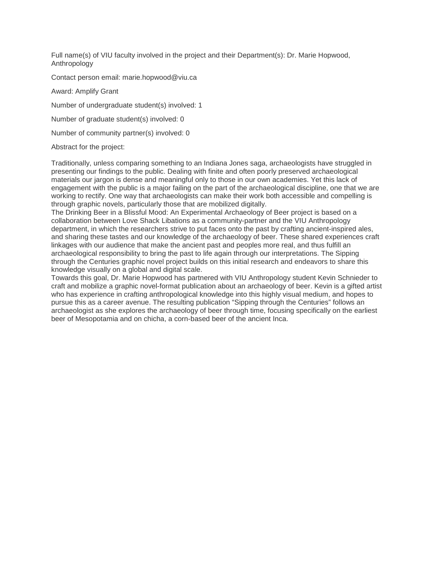Full name(s) of VIU faculty involved in the project and their Department(s): Dr. Marie Hopwood, Anthropology

Contact person email: marie.hopwood@viu.ca

Award: Amplify Grant

Number of undergraduate student(s) involved: 1

Number of graduate student(s) involved: 0

Number of community partner(s) involved: 0

#### Abstract for the project:

Traditionally, unless comparing something to an Indiana Jones saga, archaeologists have struggled in presenting our findings to the public. Dealing with finite and often poorly preserved archaeological materials our jargon is dense and meaningful only to those in our own academies. Yet this lack of engagement with the public is a major failing on the part of the archaeological discipline, one that we are working to rectify. One way that archaeologists can make their work both accessible and compelling is through graphic novels, particularly those that are mobilized digitally.

The Drinking Beer in a Blissful Mood: An Experimental Archaeology of Beer project is based on a collaboration between Love Shack Libations as a community-partner and the VIU Anthropology department, in which the researchers strive to put faces onto the past by crafting ancient-inspired ales, and sharing these tastes and our knowledge of the archaeology of beer. These shared experiences craft linkages with our audience that make the ancient past and peoples more real, and thus fulfill an archaeological responsibility to bring the past to life again through our interpretations. The Sipping through the Centuries graphic novel project builds on this initial research and endeavors to share this knowledge visually on a global and digital scale.

Towards this goal, Dr. Marie Hopwood has partnered with VIU Anthropology student Kevin Schnieder to craft and mobilize a graphic novel-format publication about an archaeology of beer. Kevin is a gifted artist who has experience in crafting anthropological knowledge into this highly visual medium, and hopes to pursue this as a career avenue. The resulting publication "Sipping through the Centuries" follows an archaeologist as she explores the archaeology of beer through time, focusing specifically on the earliest beer of Mesopotamia and on chicha, a corn-based beer of the ancient Inca.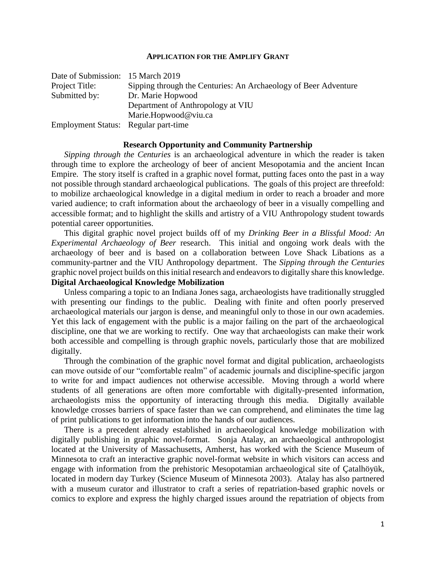#### **APPLICATION FOR THE AMPLIFY GRANT**

| Date of Submission: 15 March 2019    |                                                                 |
|--------------------------------------|-----------------------------------------------------------------|
| Project Title:                       | Sipping through the Centuries: An Archaeology of Beer Adventure |
| Submitted by:                        | Dr. Marie Hopwood                                               |
|                                      | Department of Anthropology at VIU                               |
|                                      | Marie.Hopwood@viu.ca                                            |
| Employment Status: Regular part-time |                                                                 |

#### **Research Opportunity and Community Partnership**

*Sipping through the Centuries* is an archaeological adventure in which the reader is taken through time to explore the archeology of beer of ancient Mesopotamia and the ancient Incan Empire. The story itself is crafted in a graphic novel format, putting faces onto the past in a way not possible through standard archaeological publications. The goals of this project are threefold: to mobilize archaeological knowledge in a digital medium in order to reach a broader and more varied audience; to craft information about the archaeology of beer in a visually compelling and accessible format; and to highlight the skills and artistry of a VIU Anthropology student towards potential career opportunities.

This digital graphic novel project builds off of my *Drinking Beer in a Blissful Mood: An Experimental Archaeology of Beer* research. This initial and ongoing work deals with the archaeology of beer and is based on a collaboration between Love Shack Libations as a community-partner and the VIU Anthropology department. The *Sipping through the Centuries* graphic novel project builds on this initial research and endeavors to digitally share this knowledge. **Digital Archaeological Knowledge Mobilization**

Unless comparing a topic to an Indiana Jones saga, archaeologists have traditionally struggled with presenting our findings to the public. Dealing with finite and often poorly preserved archaeological materials our jargon is dense, and meaningful only to those in our own academies. Yet this lack of engagement with the public is a major failing on the part of the archaeological discipline, one that we are working to rectify. One way that archaeologists can make their work both accessible and compelling is through graphic novels, particularly those that are mobilized digitally.

Through the combination of the graphic novel format and digital publication, archaeologists can move outside of our "comfortable realm" of academic journals and discipline-specific jargon to write for and impact audiences not otherwise accessible. Moving through a world where students of all generations are often more comfortable with digitally-presented information, archaeologists miss the opportunity of interacting through this media. Digitally available knowledge crosses barriers of space faster than we can comprehend, and eliminates the time lag of print publications to get information into the hands of our audiences.

There is a precedent already established in archaeological knowledge mobilization with digitally publishing in graphic novel-format. Sonja Atalay, an archaeological anthropologist located at the University of Massachusetts, Amherst, has worked with the Science Museum of Minnesota to craft an interactive graphic novel-format website in which visitors can access and engage with information from the prehistoric Mesopotamian archaeological site of Çatalhöyük, located in modern day Turkey (Science Museum of Minnesota 2003). Atalay has also partnered with a museum curator and illustrator to craft a series of repatriation-based graphic novels or comics to explore and express the highly charged issues around the repatriation of objects from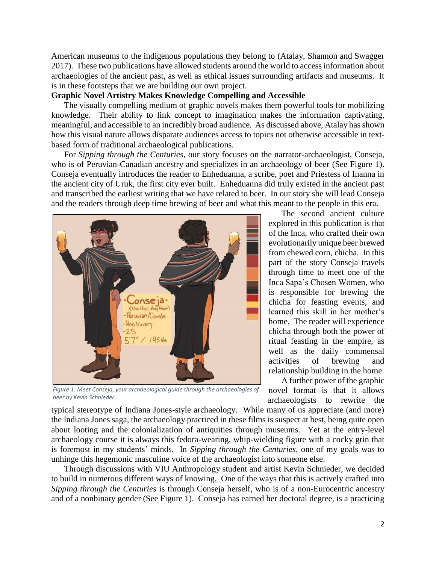American museums to the indigenous populations they belong to (Atalay, Shannon and Swagger 2017). These two publications have allowed students around the world to access information about archaeologies of the ancient past, as well as ethical issues surrounding artifacts and museums. It is in these footsteps that we are building our own project.

## **Graphic Novel Artistry Makes Knowledge Compelling and Accessible**

The visually compelling medium of graphic novels makes them powerful tools for mobilizing knowledge. Their ability to link concept to imagination makes the information captivating, meaningful, and accessible to an incredibly broad audience. As discussed above, Atalay has shown how this visual nature allows disparate audiences access to topics not otherwise accessible in textbased form of traditional archaeological publications.

For *Sipping through the Centuries*, our story focuses on the narrator-archaeologist, Conseja, who is of Peruvian-Canadian ancestry and specializes in an archaeology of beer (See Figure 1). Conseja eventually introduces the reader to Enheduanna, a scribe, poet and Priestess of Inanna in the ancient city of Uruk, the first city ever built. Enheduanna did truly existed in the ancient past and transcribed the earliest writing that we have related to beer. In our story she will lead Conseja and the readers through deep time brewing of beer and what this meant to the people in this era.



*Figure 1: Meet Conseja, your archaeological guide through the archaeologies of beer by Kevin Schnieder.*

The second ancient culture explored in this publication is that of the Inca, who crafted their own evolutionarily unique beer brewed from chewed corn, chicha. In this part of the story Conseja travels through time to meet one of the Inca Sapa's Chosen Women, who is responsible for brewing the chicha for feasting events, and learned this skill in her mother's home. The reader will experience chicha through both the power of ritual feasting in the empire, as well as the daily commensal activities of brewing and relationship building in the home.

A further power of the graphic novel format is that it allows archaeologists to rewrite the

typical stereotype of Indiana Jones-style archaeology. While many of us appreciate (and more) the Indiana Jones saga, the archaeology practiced in these films is suspect at best, being quite open about looting and the colonialization of antiquities through museums. Yet at the entry-level archaeology course it is always this fedora-wearing, whip-wielding figure with a cocky grin that is foremost in my students' minds. In *Sipping through the Centuries*, one of my goals was to unhinge this hegemonic masculine voice of the archaeologist into someone else.

Through discussions with VIU Anthropology student and artist Kevin Schnieder, we decided to build in numerous different ways of knowing. One of the ways that this is actively crafted into *Sipping through the Centuries* is through Conseja herself, who is of a non-Eurocentric ancestry and of a nonbinary gender (See Figure 1). Conseja has earned her doctoral degree, is a practicing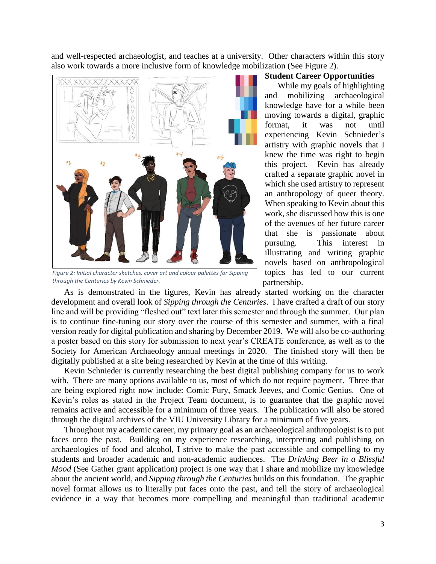and well-respected archaeologist, and teaches at a university. Other characters within this story also work towards a more inclusive form of knowledge mobilization (See Figure 2).



*Figure 2: Initial character sketches, cover art and colour palettes for Sipping through the Centuries by Kevin Schnieder.*

#### **Student Career Opportunities**

While my goals of highlighting and mobilizing archaeological knowledge have for a while been moving towards a digital, graphic format, it was not until experiencing Kevin Schnieder's artistry with graphic novels that I knew the time was right to begin this project. Kevin has already crafted a separate graphic novel in which she used artistry to represent an anthropology of queer theory. When speaking to Kevin about this work, she discussed how this is one of the avenues of her future career that she is passionate about pursuing. This interest in illustrating and writing graphic novels based on anthropological topics has led to our current partnership.

As is demonstrated in the figures, Kevin has already started working on the character development and overall look of *Sipping through the Centuries*. I have crafted a draft of our story line and will be providing "fleshed out" text later this semester and through the summer. Our plan is to continue fine-tuning our story over the course of this semester and summer, with a final version ready for digital publication and sharing by December 2019. We will also be co-authoring a poster based on this story for submission to next year's CREATE conference, as well as to the Society for American Archaeology annual meetings in 2020. The finished story will then be digitally published at a site being researched by Kevin at the time of this writing.

Kevin Schnieder is currently researching the best digital publishing company for us to work with. There are many options available to us, most of which do not require payment. Three that are being explored right now include: Comic Fury, Smack Jeeves, and Comic Genius. One of Kevin's roles as stated in the Project Team document, is to guarantee that the graphic novel remains active and accessible for a minimum of three years. The publication will also be stored through the digital archives of the VIU University Library for a minimum of five years.

Throughout my academic career, my primary goal as an archaeological anthropologist is to put faces onto the past. Building on my experience researching, interpreting and publishing on archaeologies of food and alcohol, I strive to make the past accessible and compelling to my students and broader academic and non-academic audiences. The *Drinking Beer in a Blissful Mood* (See Gather grant application) project is one way that I share and mobilize my knowledge about the ancient world, and *Sipping through the Centuries* builds on this foundation. The graphic novel format allows us to literally put faces onto the past, and tell the story of archaeological evidence in a way that becomes more compelling and meaningful than traditional academic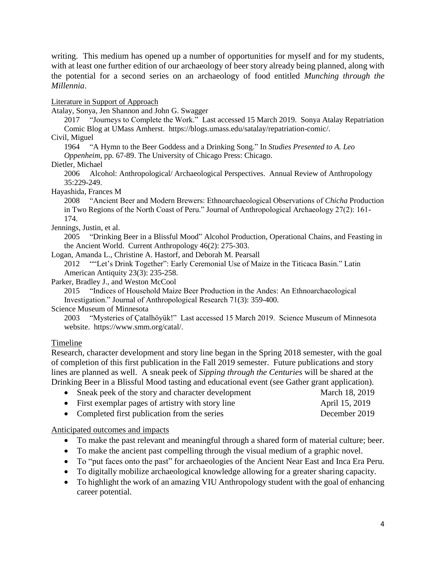writing. This medium has opened up a number of opportunities for myself and for my students, with at least one further edition of our archaeology of beer story already being planned, along with the potential for a second series on an archaeology of food entitled *Munching through the Millennia*.

Literature in Support of Approach

Atalay, Sonya, Jen Shannon and John G. Swagger

2017 "Journeys to Complete the Work." Last accessed 15 March 2019. Sonya Atalay Repatriation Comic Blog at UMass Amherst. https://blogs.umass.edu/satalay/repatriation-comic/.

Civil, Miguel

1964 "A Hymn to the Beer Goddess and a Drinking Song." In *Studies Presented to A. Leo Oppenheim*, pp. 67-89. The University of Chicago Press: Chicago.

Dietler, Michael

2006 Alcohol: Anthropological/ Archaeological Perspectives. Annual Review of Anthropology 35:229-249.

Hayashida, Frances M

2008 "Ancient Beer and Modern Brewers: Ethnoarchaeological Observations of *Chicha* Production in Two Regions of the North Coast of Peru." Journal of Anthropological Archaeology 27(2): 161- 174.

Jennings, Justin, et al.

2005 "Drinking Beer in a Blissful Mood" Alcohol Production, Operational Chains, and Feasting in the Ancient World. Current Anthropology 46(2): 275-303.

Logan, Amanda L., Christine A. Hastorf, and Deborah M. Pearsall

2012 ""Let's Drink Together": Early Ceremonial Use of Maize in the Titicaca Basin." Latin American Antiquity 23(3): 235-258.

Parker, Bradley J., and Weston McCool

2015 "Indices of Household Maize Beer Production in the Andes: An Ethnoarchaeological Investigation." Journal of Anthropological Research 71(3): 359-400.

Science Museum of Minnesota

2003 "Mysteries of Çatalhöyük!" Last accessed 15 March 2019. Science Museum of Minnesota website. https://www.smm.org/catal/.

## Timeline

Research, character development and story line began in the Spring 2018 semester, with the goal of completion of this first publication in the Fall 2019 semester. Future publications and story lines are planned as well. A sneak peek of *Sipping through the Centuries* will be shared at the Drinking Beer in a Blissful Mood tasting and educational event (see Gather grant application).

| • Sneak peek of the story and character development | March 18, 2019 |
|-----------------------------------------------------|----------------|
| • First exemplar pages of artistry with story line  | April 15, 2019 |
| • Completed first publication from the series       | December 2019  |

Anticipated outcomes and impacts

- To make the past relevant and meaningful through a shared form of material culture; beer.
- To make the ancient past compelling through the visual medium of a graphic novel.
- To "put faces onto the past" for archaeologies of the Ancient Near East and Inca Era Peru.
- To digitally mobilize archaeological knowledge allowing for a greater sharing capacity.
- To highlight the work of an amazing VIU Anthropology student with the goal of enhancing career potential.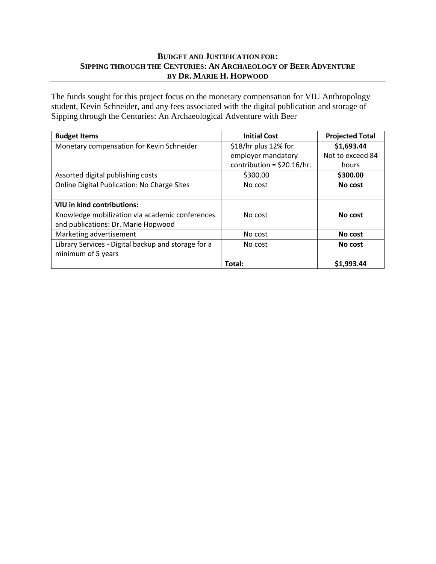## **BUDGET AND JUSTIFICATION FOR: SIPPING THROUGH THE CENTURIES: AN ARCHAEOLOGY OF BEER ADVENTURE BY DR. MARIE H. HOPWOOD**

The funds sought for this project focus on the monetary compensation for VIU Anthropology student, Kevin Schneider, and any fees associated with the digital publication and storage of Sipping through the Centuries: An Archaeological Adventure with Beer

| <b>Budget Items</b>                                 | <b>Initial Cost</b>          | <b>Projected Total</b> |
|-----------------------------------------------------|------------------------------|------------------------|
| Monetary compensation for Kevin Schneider           | \$18/hr plus 12% for         | \$1,693.44             |
|                                                     | employer mandatory           | Not to exceed 84       |
|                                                     | contribution = $$20.16/hr$ . | hours                  |
| Assorted digital publishing costs                   | \$300.00                     | \$300.00               |
| <b>Online Digital Publication: No Charge Sites</b>  | No cost                      | No cost                |
|                                                     |                              |                        |
| VIU in kind contributions:                          |                              |                        |
| Knowledge mobilization via academic conferences     | No cost                      | No cost                |
| and publications: Dr. Marie Hopwood                 |                              |                        |
| Marketing advertisement                             | No cost                      | No cost                |
| Library Services - Digital backup and storage for a | No cost                      | No cost                |
| minimum of 5 years                                  |                              |                        |
|                                                     | Total:                       | \$1,993.44             |